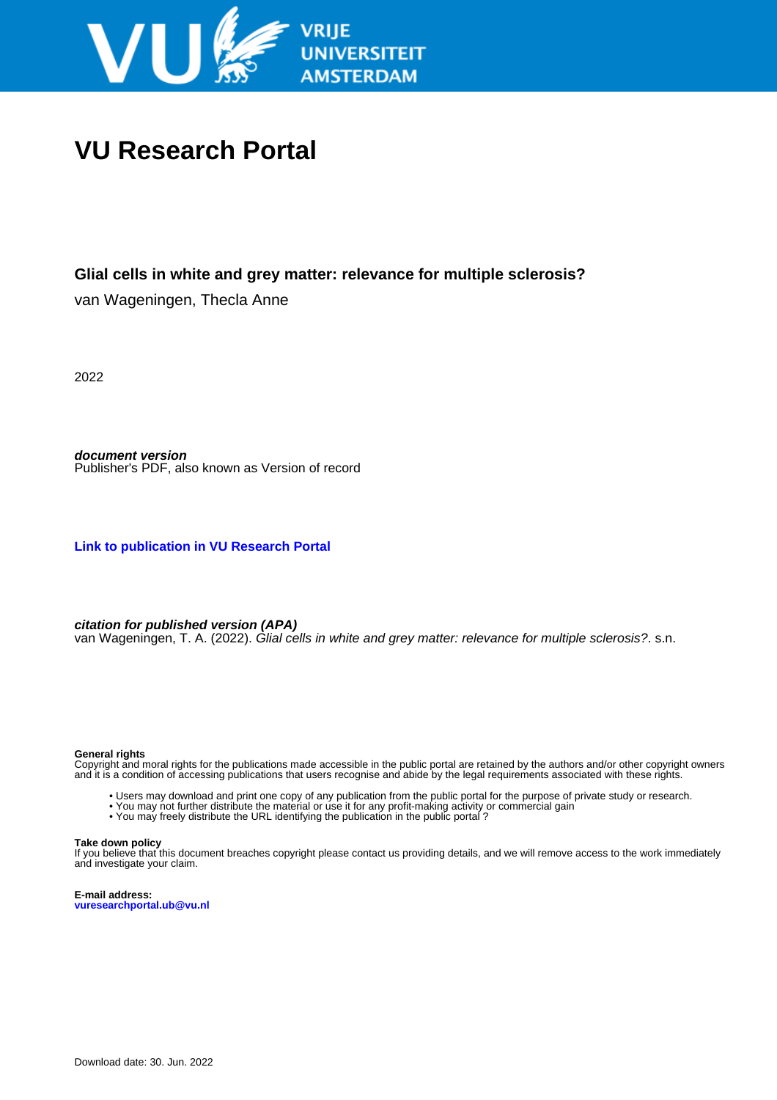

## **VU Research Portal**

### **Glial cells in white and grey matter: relevance for multiple sclerosis?**

van Wageningen, Thecla Anne

2022

**document version** Publisher's PDF, also known as Version of record

**[Link to publication in VU Research Portal](https://research.vu.nl/en/publications/f1d7991b-012b-44c5-b1cb-ae2be62b9654)**

**citation for published version (APA)**

van Wageningen, T. A. (2022). Glial cells in white and grey matter: relevance for multiple sclerosis?. s.n.

#### **General rights**

Copyright and moral rights for the publications made accessible in the public portal are retained by the authors and/or other copyright owners and it is a condition of accessing publications that users recognise and abide by the legal requirements associated with these rights.

- Users may download and print one copy of any publication from the public portal for the purpose of private study or research.
- You may not further distribute the material or use it for any profit-making activity or commercial gain
- You may freely distribute the URL identifying the publication in the public portal?

#### **Take down policy**

If you believe that this document breaches copyright please contact us providing details, and we will remove access to the work immediately and investigate your claim.

**E-mail address: vuresearchportal.ub@vu.nl**